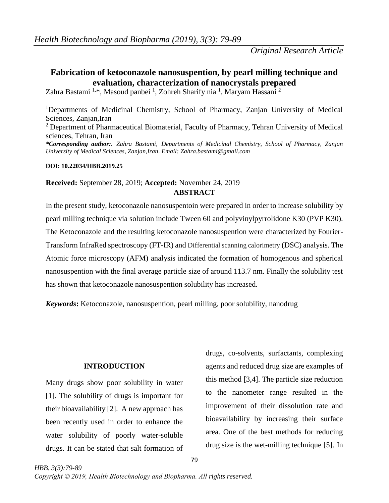# **Fabrication of ketoconazole nanosuspention, by pearl milling technique and evaluation, characterization of nanocrystals prepared**

Zahra Bastami <sup>1,\*</sup>, Masoud panbei <sup>1</sup>, Zohreh Sharify nia <sup>1</sup>, Maryam Hassani <sup>2</sup>

<sup>1</sup>Departments of Medicinal Chemistry, School of Pharmacy, Zanjan University of Medical Sciences, Zanjan,Iran <sup>2</sup> Department of Pharmaceutical Biomaterial, Faculty of Pharmacy, Tehran University of Medical sciences, Tehran, Iran

*\*Corresponding author:. Zahra Bastami, Departments of Medicinal Chemistry, School of Pharmacy, Zanjan University of Medical Sciences, Zanjan,Iran*. *Email: Zahra.bastami@gmail.com*

### **DOI: 10.22034/HBB.2019.25**

# **Received:** September 28, 2019; **Accepted:** November 24, 2019 **ABSTRACT**

In the present study, ketoconazole nanosuspentoin were prepared in order to increase solubility by pearl milling technique via solution include Tween 60 and polyvinylpyrrolidone K30 (PVP K30). The Ketoconazole and the resulting ketoconazole nanosuspention were characterized by Fourier-Transform InfraRed spectroscopy (FT-IR) and Differential scanning calorimetry (DSC) analysis. The Atomic force microscopy (AFM) analysis indicated the formation of homogenous and spherical nanosuspention with the final average particle size of around 113.7 nm. Finally the solubility test has shown that ketoconazole nanosuspention solubility has increased.

*Keywords***:** Ketoconazole, nanosuspention, pearl milling, poor solubility, nanodrug

# **INTRODUCTION**

Many drugs show poor solubility in water [1]. The solubility of drugs is important for their bioavailability [2]. A new approach has been recently used in order to enhance the water solubility of poorly water-soluble drugs. It can be stated that salt formation of

drugs, co-solvents, surfactants, complexing agents and reduced drug size are examples of this method [3,4]. The particle size reduction to the nanometer range resulted in the improvement of their dissolution rate and bioavailability by increasing their surface area. One of the best methods for reducing drug size is the wet-milling technique [5]. In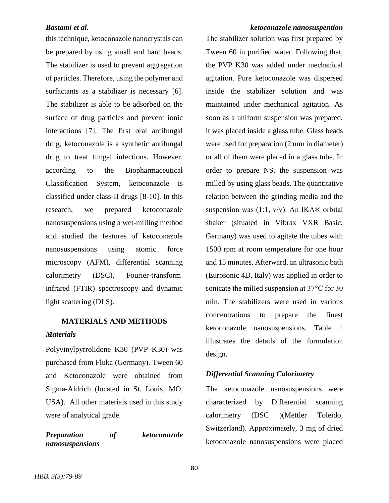this technique, ketoconazole nanocrystals can be prepared by using small and hard beads. The stabilizer is used to prevent aggregation of particles. Therefore, using the polymer and surfactants as a stabilizer is necessary [6]. The stabilizer is able to be adsorbed on the surface of drug particles and prevent ionic interactions [7]. The first oral antifungal drug, ketoconazole is a synthetic antifungal drug to treat fungal infections. However, according to the Biopharmaceutical Classification System, ketoconazole is classified under class-II drugs [8-10]. In this research, we prepared ketoconazole nanosuspensions using a wet-milling method and studied the features of ketoconazole nanosuspensions using atomic force microscopy (AFM), differential scanning calorimetry (DSC), Fourier-transform infrared (FTIR) spectroscopy and dynamic light scattering (DLS).

# **MATERIALS AND METHODS** *Materials*

Polyvinylpyrrolidone K30 (PVP K30) was purchased from Fluka (Germany). Tween 60 and Ketoconazole were obtained from Sigma-Aldrich (located in St. Louis, MO, USA). All other materials used in this study were of analytical grade.

*Preparation of ketoconazole nanosuspensions*

### *Bastami et al. ketoconazole nanosuspention*

The stabilizer solution was first prepared by Tween 60 in purified water. Following that, the PVP K30 was added under mechanical agitation. Pure ketoconazole was dispersed inside the stabilizer solution and was maintained under mechanical agitation. As soon as a uniform suspension was prepared, it was placed inside a glass tube. Glass beads were used for preparation (2 mm in diameter) or all of them were placed in a glass tube. In order to prepare NS, the suspension was milled by using glass beads. The quantitative relation between the grinding media and the suspension was  $(1:1, v/v)$ . An IKA® orbital shaker (situated in Vibrax VXR Basic, Germany) was used to agitate the tubes with 1500 rpm at room temperature for one hour and 15 minutes. Afterward, an ultrasonic bath (Eurosonic 4D, Italy) was applied in order to sonicate the milled suspension at 37°C for 30 min. The stabilizers were used in various concentrations to prepare the finest ketoconazole nanosuspensions. Table 1 illustrates the details of the formulation design.

# *Differential Scanning Calorimetry*

The ketoconazole nanosuspensions were characterized by Differential scanning calorimetry (DSC )(Mettler Toleido, Switzerland). Approximately, 3 mg of dried ketoconazole nanosuspensions were placed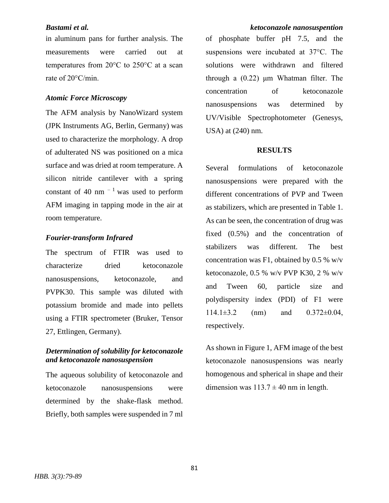in aluminum pans for further analysis. The measurements were carried out at temperatures from 20°C to 250°C at a scan rate of 20°C/min.

### *Atomic Force Microscopy*

The AFM analysis by NanoWizard system (JPK Instruments AG, Berlin, Germany) was used to characterize the morphology. A drop of adulterated NS was positioned on a mica surface and was dried at room temperature. A silicon nitride cantilever with a spring constant of 40 nm  $^{-1}$  was used to perform AFM imaging in tapping mode in the air at room temperature.

# *Fourier-transform Infrared*

The spectrum of FTIR was used to characterize dried ketoconazole nanosuspensions, ketoconazole, and PVPK30. This sample was diluted with potassium bromide and made into pellets using a FTIR spectrometer (Bruker, Tensor 27, Ettlingen, Germany).

# *Determination of solubility for ketoconazole and ketoconazole nanosuspension*

The aqueous solubility of ketoconazole and ketoconazole nanosuspensions were determined by the shake-flask method. Briefly, both samples were suspended in 7 ml

of phosphate buffer pH 7.5, and the suspensions were incubated at 37°C. The solutions were withdrawn and filtered through a (0.22) μm Whatman filter. The concentration of ketoconazole nanosuspensions was determined by UV/Visible Spectrophotometer (Genesys, USA) at (240) nm.

### **RESULTS**

Several formulations of ketoconazole nanosuspensions were prepared with the different concentrations of PVP and Tween as stabilizers, which are presented in Table 1. As can be seen, the concentration of drug was fixed (0.5%) and the concentration of stabilizers was different. The best concentration was F1, obtained by  $0.5\%$  w/v ketoconazole, 0.5 % w/v PVP K30, 2 % w/v and Tween 60, particle size and polydispersity index (PDI) of F1 were  $114.1\pm3.2$  (nm) and  $0.372\pm0.04$ , respectively.

As shown in Figure 1, AFM image of the best ketoconazole nanosuspensions was nearly homogenous and spherical in shape and their dimension was  $113.7 \pm 40$  nm in length.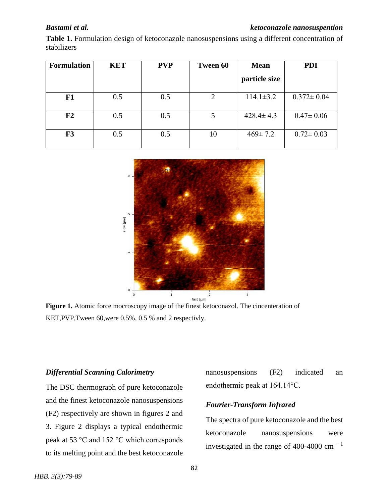### *Bastami et al. ketoconazole nanosuspention*

**Table 1.** Formulation design of ketoconazole nanosuspensions using a different concentration of stabilizers

| <b>Formulation</b> | <b>KET</b> | <b>PVP</b> | Tween 60 | <b>Mean</b>     | <b>PDI</b>       |
|--------------------|------------|------------|----------|-----------------|------------------|
|                    |            |            |          | particle size   |                  |
| F1                 | 0.5        | 0.5        | 2        | $114.1 \pm 3.2$ | $0.372 \pm 0.04$ |
| F <sub>2</sub>     | 0.5        | 0.5        | 5        | $428.4 \pm 4.3$ | $0.47 \pm 0.06$  |
| F3                 | 0.5        | 0.5        | 10       | $469 \pm 7.2$   | $0.72 \pm 0.03$  |



**Figure 1.** Atomic force mocroscopy image of the finest ketoconazol. The cincenteration of KET,PVP,Tween 60,were 0.5%, 0.5 % and 2 respectivly.

# *Differential Scanning Calorimetry*

The DSC thermograph of pure ketoconazole and the finest ketoconazole nanosuspensions (F2) respectively are shown in figures 2 and 3. Figure 2 displays a typical endothermic peak at 53 °C and 152 °C which corresponds to its melting point and the best ketoconazole

nanosuspensions (F2) indicated an endothermic peak at 164.14°C.

# *Fourier-Transform Infrared*

The spectra of pure ketoconazole and the best ketoconazole nanosuspensions were investigated in the range of 400-4000 cm $^{-1}$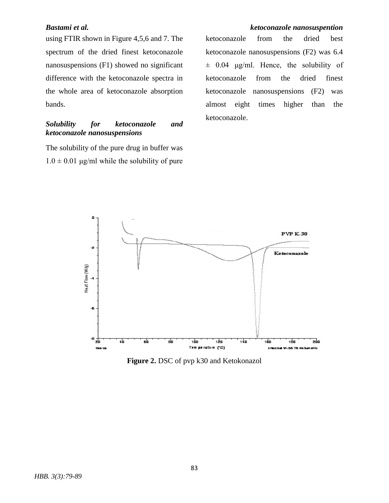using FTIR shown in Figure 4,5,6 and 7. The spectrum of the dried finest ketoconazole nanosuspensions (F1) showed no significant difference with the ketoconazole spectra in the whole area of ketoconazole absorption bands.

## *Solubility for ketoconazole and ketoconazole nanosuspensions*

The solubility of the pure drug in buffer was  $1.0 \pm 0.01$  μg/ml while the solubility of pure

# *Bastami et al. ketoconazole nanosuspention*

ketoconazole from the dried best ketoconazole nanosuspensions (F2) was 6.4  $\pm$  0.04 μg/ml. Hence, the solubility of ketoconazole from the dried finest ketoconazole nanosuspensions (F2) was almost eight times higher than the ketoconazole.



**Figure 2.** DSC of pvp k30 and Ketokonazol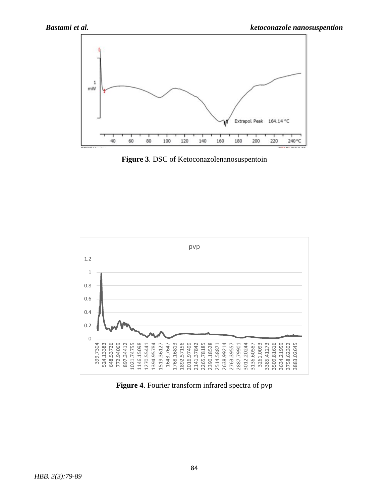

**Figure 3**. DSC of Ketoconazolenanosuspentoin



**Figure 4**. Fourier transform infrared spectra of pvp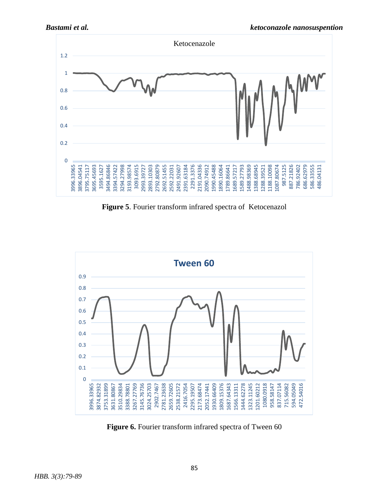

**Figure 5**. Fourier transform infrared spectra of Ketocenazol



**Figure 6.** Fourier transform infrared spectra of Tween 60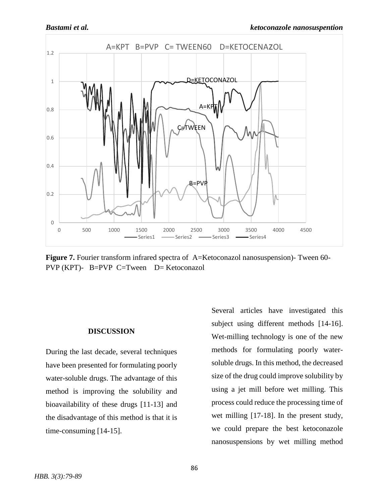

**Figure 7.** Fourier transform infrared spectra of A=Ketoconazol nanosuspension)- Tween 60- PVP (KPT)- B=PVP C=Tween D= Ketoconazol

### **DISCUSSION**

During the last decade, several techniques have been presented for formulating poorly water-soluble drugs. The advantage of this method is improving the solubility and bioavailability of these drugs [11-13] and the disadvantage of this method is that it is time-consuming [14-15].

Several articles have investigated this subject using different methods [14-16]. Wet-milling technology is one of the new methods for formulating poorly watersoluble drugs. In this method, the decreased size of the drug could improve solubility by using a jet mill before wet milling. This process could reduce the processing time of wet milling [17-18]. In the present study, we could prepare the best ketoconazole nanosuspensions by wet milling method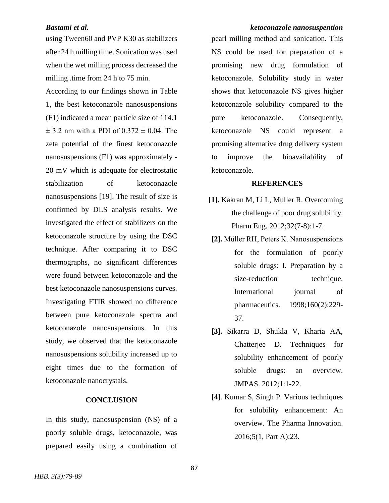using Tween60 and PVP K30 as stabilizers after 24 h milling time. Sonication was used when the wet milling process decreased the milling .time from 24 h to 75 min.

According to our findings shown in Table 1, the best ketoconazole nanosuspensions (F1) indicated a mean particle size of 114.1  $\pm$  3.2 nm with a PDI of 0.372  $\pm$  0.04. The zeta potential of the finest ketoconazole nanosuspensions (F1) was approximately - 20 mV which is adequate for electrostatic stabilization of ketoconazole nanosuspensions [19]. The result of size is confirmed by DLS analysis results. We investigated the effect of stabilizers on the ketoconazole structure by using the DSC technique. After comparing it to DSC thermographs, no significant differences were found between ketoconazole and the best ketoconazole nanosuspensions curves. Investigating FTIR showed no difference between pure ketoconazole spectra and ketoconazole nanosuspensions. In this study, we observed that the ketoconazole nanosuspensions solubility increased up to eight times due to the formation of ketoconazole nanocrystals.

### **CONCLUSION**

In this study, nanosuspension (NS) of a poorly soluble drugs, ketoconazole, was prepared easily using a combination of

### *Bastami et al. ketoconazole nanosuspention*

pearl milling method and sonication. This NS could be used for preparation of a promising new drug formulation of ketoconazole. Solubility study in water shows that ketoconazole NS gives higher ketoconazole solubility compared to the pure ketoconazole. Consequently, ketoconazole NS could represent a promising alternative drug delivery system to improve the bioavailability of ketoconazole.

### **REFERENCES**

- **[1].** Kakran M, Li L, Muller R. Overcoming the challenge of poor drug solubility. Pharm Eng. 2012;32(7-8):1-7.
- **[2].** Müller RH, Peters K. Nanosuspensions for the formulation of poorly soluble drugs: I. Preparation by a size-reduction technique. International journal of pharmaceutics. 1998;160(2):229- 37.
- **[3].** Sikarra D, Shukla V, Kharia AA, Chatterjee D. Techniques for solubility enhancement of poorly soluble drugs: an overview. JMPAS. 2012;1:1-22.
- **[4]**. Kumar S, Singh P. Various techniques for solubility enhancement: An overview. The Pharma Innovation. 2016;5(1, Part A):23.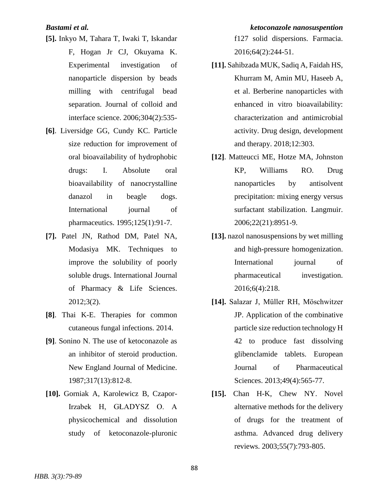- **[5].** Inkyo M, Tahara T, Iwaki T, Iskandar F, Hogan Jr CJ, Okuyama K. Experimental investigation of nanoparticle dispersion by beads milling with centrifugal bead separation. Journal of colloid and interface science. 2006;304(2):535-
- **[6]**. Liversidge GG, Cundy KC. Particle size reduction for improvement of oral bioavailability of hydrophobic drugs: I. Absolute oral bioavailability of nanocrystalline danazol in beagle dogs. International journal of pharmaceutics. 1995;125(1):91-7.
- **[7].** Patel JN, Rathod DM, Patel NA, Modasiya MK. Techniques to improve the solubility of poorly soluble drugs. International Journal of Pharmacy & Life Sciences. 2012;3(2).
- **[8]**. Thai K-E. Therapies for common cutaneous fungal infections. 2014.
- **[9]**. Sonino N. The use of ketoconazole as an inhibitor of steroid production. New England Journal of Medicine. 1987;317(13):812-8.
- **[10].** Gorniak A, Karolewicz B, Czapor-Irzabek H, GŁADYSZ O. A physicochemical and dissolution study of ketoconazole-pluronic

*Bastami et al. ketoconazole nanosuspention* f127 solid dispersions. Farmacia. 2016;64(2):244-51.

- **[11].** Sahibzada MUK, Sadiq A, Faidah HS, Khurram M, Amin MU, Haseeb A, et al. Berberine nanoparticles with enhanced in vitro bioavailability: characterization and antimicrobial activity. Drug design, development and therapy. 2018;12:303.
- **[12]**. Matteucci ME, Hotze MA, Johnston KP, Williams RO. Drug nanoparticles by antisolvent precipitation: mixing energy versus surfactant stabilization. Langmuir. 2006;22(21):8951-9.
- **[13].** nazol nanosuspensions by wet milling and high-pressure homogenization. International journal of pharmaceutical investigation. 2016;6(4):218.
- **[14].** Salazar J, Müller RH, Möschwitzer JP. Application of the combinative particle size reduction technology H 42 to produce fast dissolving glibenclamide tablets. European Journal of Pharmaceutical Sciences. 2013;49(4):565-77.
- **[15].** Chan H-K, Chew NY. Novel alternative methods for the delivery of drugs for the treatment of asthma. Advanced drug delivery reviews. 2003;55(7):793-805.